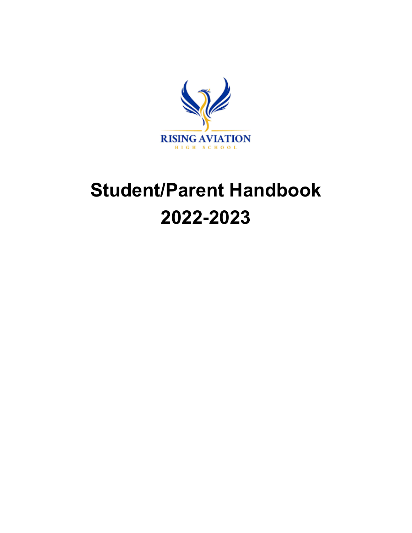

# **Student/Parent Handbook 2022-2023**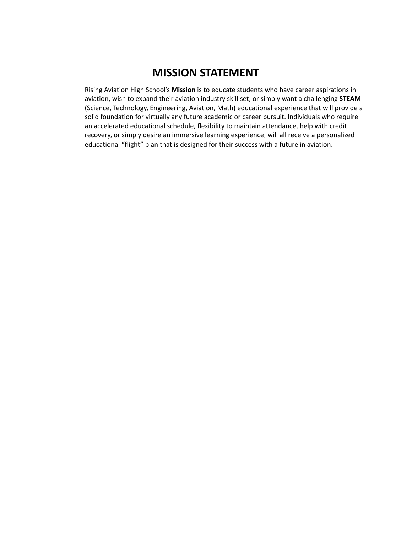# **MISSION STATEMENT**

Rising Aviation High School's **Mission** is to educate students who have career aspirations in aviation, wish to expand their aviation industry skill set, or simply want a challenging **STEAM** (Science, Technology, Engineering, Aviation, Math) educational experience that will provide a solid foundation for virtually any future academic or career pursuit. Individuals who require an accelerated educational schedule, flexibility to maintain attendance, help with credit recovery, or simply desire an immersive learning experience, will all receive a personalized educational "flight" plan that is designed for their success with a future in aviation.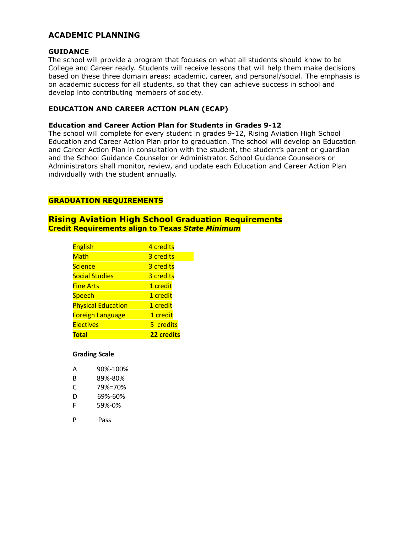# **ACADEMIC PLANNING**

#### **GUIDANCE**

The school will provide a program that focuses on what all students should know to be College and Career ready. Students will receive lessons that will help them make decisions based on these three domain areas: academic, career, and personal/social. The emphasis is on academic success for all students, so that they can achieve success in school and develop into contributing members of society.

## **EDUCATION AND CAREER ACTION PLAN (ECAP)**

#### **Education and Career Action Plan for Students in Grades 9-12**

The school will complete for every student in grades 9-12, Rising Aviation High School Education and Career Action Plan prior to graduation. The school will develop an Education and Career Action Plan in consultation with the student, the student's parent or quardian and the School Guidance Counselor or Administrator. School Guidance Counselors or Administrators shall monitor, review, and update each Education and Career Action Plan individually with the student annually.

# **GRADUATION REQUIREMENTS**

# **Rising Aviation High School Graduation Requirements Credit Requirements align to Texas** *State Minimum*

| <b>English</b>            | 4 credits  |
|---------------------------|------------|
| Math                      | 3 credits  |
| <b>Science</b>            | 3 credits  |
| <b>Social Studies</b>     | 3 credits  |
| <b>Fine Arts</b>          | 1 credit   |
| <b>Speech</b>             | 1 credit   |
| <b>Physical Education</b> | 1 credit   |
| <b>Foreign Language</b>   | 1 credit   |
| <b>Electives</b>          | 5 credits  |
| Total                     | 22 credits |

#### **Grading Scale**

| А | 90%-100% |
|---|----------|
| в | 89%-80%  |
| C | 79%=70%  |
| D | 69%-60%  |
| F | 59%-0%   |

P Pass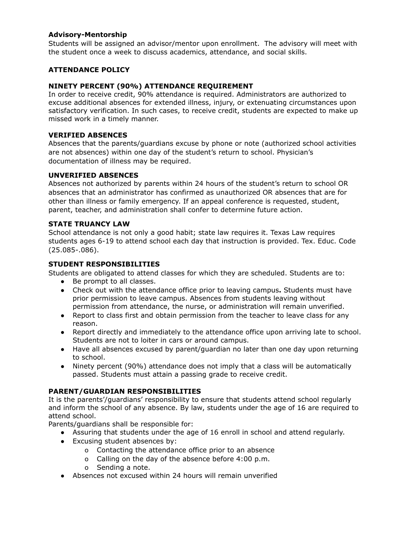# **Advisory-Mentorship**

Students will be assigned an advisor/mentor upon enrollment. The advisory will meet with the student once a week to discuss academics, attendance, and social skills.

# **ATTENDANCE POLICY**

# **NINETY PERCENT (90%) ATTENDANCE REQUIREMENT**

In order to receive credit, 90% attendance is required. Administrators are authorized to excuse additional absences for extended illness, injury, or extenuating circumstances upon satisfactory verification. In such cases, to receive credit, students are expected to make up missed work in a timely manner.

#### **VERIFIED ABSENCES**

Absences that the parents/guardians excuse by phone or note (authorized school activities are not absences) within one day of the student's return to school. Physician's documentation of illness may be required.

# **UNVERIFIED ABSENCES**

Absences not authorized by parents within 24 hours of the student's return to school OR absences that an administrator has confirmed as unauthorized OR absences that are for other than illness or family emergency. If an appeal conference is requested, student, parent, teacher, and administration shall confer to determine future action.

# **STATE TRUANCY LAW**

School attendance is not only a good habit; state law requires it. Texas Law requires students ages 6-19 to attend school each day that instruction is provided. Tex. Educ. Code (25.085-.086).

# **STUDENT RESPONSIBILITIES**

Students are obligated to attend classes for which they are scheduled. Students are to:

- Be prompt to all classes.
- Check out with the attendance office prior to leaving campus**.** Students must have prior permission to leave campus. Absences from students leaving without permission from attendance, the nurse, or administration will remain unverified.
- Report to class first and obtain permission from the teacher to leave class for any reason.
- Report directly and immediately to the attendance office upon arriving late to school. Students are not to loiter in cars or around campus.
- Have all absences excused by parent/guardian no later than one day upon returning to school.
- Ninety percent (90%) attendance does not imply that a class will be automatically passed. Students must attain a passing grade to receive credit.

#### **PARENT/GUARDIAN RESPONSIBILITIES**

It is the parents'/guardians' responsibility to ensure that students attend school regularly and inform the school of any absence. By law, students under the age of 16 are required to attend school.

Parents/guardians shall be responsible for:

- Assuring that students under the age of 16 enroll in school and attend regularly.
- Excusing student absences by:
	- o Contacting the attendance office prior to an absence
	- o Calling on the day of the absence before 4:00 p.m.
	- o Sending a note.
- Absences not excused within 24 hours will remain unverified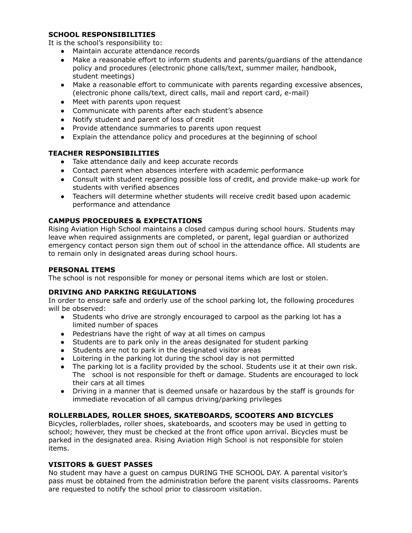# **SCHOOL RESPONSIBILITIES**

It is the school's responsibility to:

- Maintain accurate attendance records
- Make a reasonable effort to inform students and parents/guardians of the attendance policy and procedures (electronic phone calls/text, summer mailer, handbook, student meetings)
- Make a reasonable effort to communicate with parents regarding excessive absences, (electronic phone calls/text, direct calls, mail and report card, e-mail)
- Meet with parents upon request
- Communicate with parents after each student's absence
- Notify student and parent of loss of credit
- Provide attendance summaries to parents upon request
- Explain the attendance policy and procedures at the beginning of school

# **TEACHER RESPONSIBILITIES**

- Take attendance daily and keep accurate records
- Contact parent when absences interfere with academic performance
- Consult with student regarding possible loss of credit, and provide make-up work for students with verified absences
- Teachers will determine whether students will receive credit based upon academic performance and attendance

# **CAMPUS PROCEDURES & EXPECTATIONS**

Rising Aviation High School maintains a closed campus during school hours. Students may leave when required assignments are completed, or parent, legal guardian or authorized emergency contact person sign them out of school in the attendance office. All students are to remain only in designated areas during school hours.

#### **PERSONAL ITEMS**

The school is not responsible for money or personal items which are lost or stolen.

# **DRIVING AND PARKING REGULATIONS**

In order to ensure safe and orderly use of the school parking lot, the following procedures will be observed:

- Students who drive are strongly encouraged to carpool as the parking lot has a limited number of spaces
- Pedestrians have the right of way at all times on campus
- Students are to park only in the areas designated for student parking
- Students are not to park in the designated visitor areas
- Loitering in the parking lot during the school day is not permitted
- The parking lot is a facility provided by the school. Students use it at their own risk. The school is not responsible for theft or damage. Students are encouraged to lock their cars at all times
- Driving in a manner that is deemed unsafe or hazardous by the staff is grounds for immediate revocation of all campus driving/parking privileges

#### **ROLLERBLADES, ROLLER SHOES, SKATEBOARDS, SCOOTERS AND BICYCLES**

Bicycles, rollerblades, roller shoes, skateboards, and scooters may be used in getting to school; however, they must be checked at the front office upon arrival. Bicycles must be parked in the designated area. Rising Aviation High School is not responsible for stolen items.

#### **VISITORS & GUEST PASSES**

No student may have a guest on campus DURING THE SCHOOL DAY. A parental visitor's pass must be obtained from the administration before the parent visits classrooms. Parents are requested to notify the school prior to classroom visitation.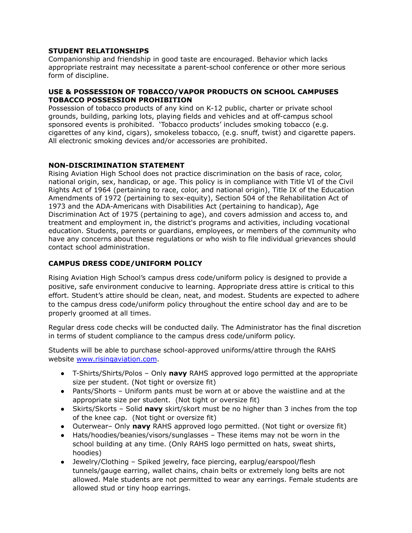# **STUDENT RELATIONSHIPS**

Companionship and friendship in good taste are encouraged. Behavior which lacks appropriate restraint may necessitate a parent-school conference or other more serious form of discipline.

#### **USE & POSSESSION OF TOBACCO/VAPOR PRODUCTS ON SCHOOL CAMPUSES TOBACCO POSSESSION PROHIBITION**

Possession of tobacco products of any kind on K-12 public, charter or private school grounds, building, parking lots, playing fields and vehicles and at off-campus school sponsored events is prohibited. 'Tobacco products' includes smoking tobacco (e.g. cigarettes of any kind, cigars), smokeless tobacco, (e.g. snuff, twist) and cigarette papers. All electronic smoking devices and/or accessories are prohibited.

#### **NON-DISCRIMINATION STATEMENT**

Rising Aviation High School does not practice discrimination on the basis of race, color, national origin, sex, handicap, or age. This policy is in compliance with Title VI of the Civil Rights Act of 1964 (pertaining to race, color, and national origin), Title IX of the Education Amendments of 1972 (pertaining to sex-equity), Section 504 of the Rehabilitation Act of 1973 and the ADA-Americans with Disabilities Act (pertaining to handicap), Age Discrimination Act of 1975 (pertaining to age), and covers admission and access to, and treatment and employment in, the district's programs and activities, including vocational education. Students, parents or guardians, employees, or members of the community who have any concerns about these regulations or who wish to file individual grievances should contact school administration.

# **CAMPUS DRESS CODE/UNIFORM POLICY**

Rising Aviation High School's campus dress code/uniform policy is designed to provide a positive, safe environment conducive to learning. Appropriate dress attire is critical to this effort. Student's attire should be clean, neat, and modest. Students are expected to adhere to the campus dress code/uniform policy throughout the entire school day and are to be properly groomed at all times.

Regular dress code checks will be conducted daily. The Administrator has the final discretion in terms of student compliance to the campus dress code/uniform policy.

Students will be able to purchase school-approved uniforms/attire through the RAHS website [www.risingaviation.com](http://www.risingaviation.com).

- T-Shirts/Shirts/Polos Only **navy** RAHS approved logo permitted at the appropriate size per student. (Not tight or oversize fit)
- Pants/Shorts Uniform pants must be worn at or above the waistline and at the appropriate size per student. (Not tight or oversize fit)
- Skirts/Skorts Solid **navy** skirt/skort must be no higher than 3 inches from the top of the knee cap. (Not tight or oversize fit)
- Outerwear– Only **navy** RAHS approved logo permitted. (Not tight or oversize fit)
- Hats/hoodies/beanies/visors/sunglasses These items may not be worn in the school building at any time. (Only RAHS logo permitted on hats, sweat shirts, hoodies)
- Jewelry/Clothing Spiked jewelry, face piercing, earplug/earspool/flesh tunnels/gauge earring, wallet chains, chain belts or extremely long belts are not allowed. Male students are not permitted to wear any earrings. Female students are allowed stud or tiny hoop earrings.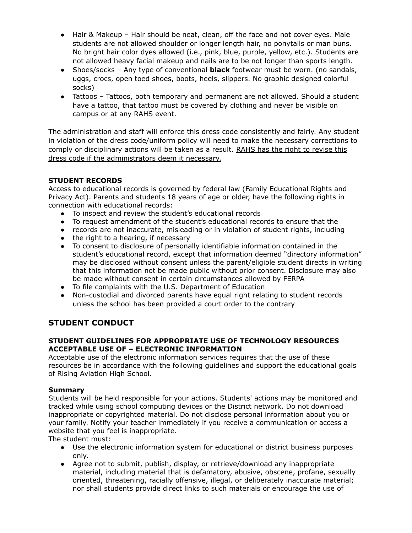- Hair & Makeup Hair should be neat, clean, off the face and not cover eyes. Male students are not allowed shoulder or longer length hair, no ponytails or man buns. No bright hair color dyes allowed (i.e., pink, blue, purple, yellow, etc.). Students are not allowed heavy facial makeup and nails are to be not longer than sports length.
- Shoes/socks Any type of conventional **black** footwear must be worn. (no sandals, uggs, crocs, open toed shoes, boots, heels, slippers. No graphic designed colorful socks)
- Tattoos Tattoos, both temporary and permanent are not allowed. Should a student have a tattoo, that tattoo must be covered by clothing and never be visible on campus or at any RAHS event.

The administration and staff will enforce this dress code consistently and fairly. Any student in violation of the dress code/uniform policy will need to make the necessary corrections to comply or disciplinary actions will be taken as a result. RAHS has the right to revise this dress code if the administrators deem it necessary.

# **STUDENT RECORDS**

Access to educational records is governed by federal law (Family Educational Rights and Privacy Act). Parents and students 18 years of age or older, have the following rights in connection with educational records:

- To inspect and review the student's educational records
- To request amendment of the student's educational records to ensure that the
- records are not inaccurate, misleading or in violation of student rights, including
- the right to a hearing, if necessary
- To consent to disclosure of personally identifiable information contained in the student's educational record, except that information deemed "directory information" may be disclosed without consent unless the parent/eligible student directs in writing that this information not be made public without prior consent. Disclosure may also be made without consent in certain circumstances allowed by FERPA
- To file complaints with the U.S. Department of Education
- Non-custodial and divorced parents have equal right relating to student records unless the school has been provided a court order to the contrary

# **STUDENT CONDUCT**

# **STUDENT GUIDELINES FOR APPROPRIATE USE OF TECHNOLOGY RESOURCES ACCEPTABLE USE OF – ELECTRONIC INFORMATION**

Acceptable use of the electronic information services requires that the use of these resources be in accordance with the following guidelines and support the educational goals of Rising Aviation High School.

# **Summary**

Students will be held responsible for your actions. Students' actions may be monitored and tracked while using school computing devices or the District network. Do not download inappropriate or copyrighted material. Do not disclose personal information about you or your family. Notify your teacher immediately if you receive a communication or access a website that you feel is inappropriate.

The student must:

- Use the electronic information system for educational or district business purposes only.
- Agree not to submit, publish, display, or retrieve/download any inappropriate material, including material that is defamatory, abusive, obscene, profane, sexually oriented, threatening, racially offensive, illegal, or deliberately inaccurate material; nor shall students provide direct links to such materials or encourage the use of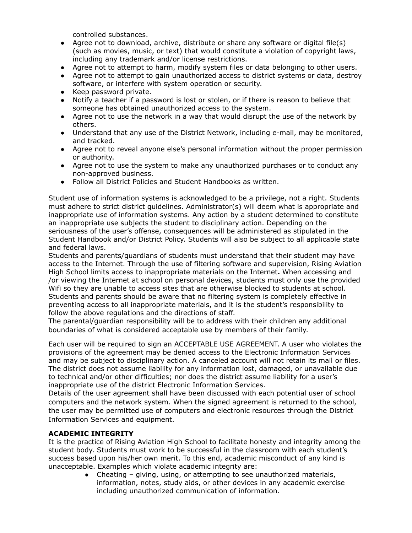controlled substances.

- Agree not to download, archive, distribute or share any software or digital file(s) (such as movies, music, or text) that would constitute a violation of copyright laws, including any trademark and/or license restrictions.
- Agree not to attempt to harm, modify system files or data belonging to other users.
- Agree not to attempt to gain unauthorized access to district systems or data, destroy software, or interfere with system operation or security.
- Keep password private.
- Notify a teacher if a password is lost or stolen, or if there is reason to believe that someone has obtained unauthorized access to the system.
- Agree not to use the network in a way that would disrupt the use of the network by others.
- Understand that any use of the District Network, including e-mail, may be monitored, and tracked.
- Agree not to reveal anyone else's personal information without the proper permission or authority.
- Agree not to use the system to make any unauthorized purchases or to conduct any non-approved business.
- Follow all District Policies and Student Handbooks as written.

Student use of information systems is acknowledged to be a privilege, not a right. Students must adhere to strict district guidelines. Administrator(s) will deem what is appropriate and inappropriate use of information systems. Any action by a student determined to constitute an inappropriate use subjects the student to disciplinary action. Depending on the seriousness of the user's offense, consequences will be administered as stipulated in the Student Handbook and/or District Policy. Students will also be subject to all applicable state and federal laws.

Students and parents/guardians of students must understand that their student may have access to the Internet. Through the use of filtering software and supervision, Rising Aviation High School limits access to inappropriate materials on the Internet**.** When accessing and /or viewing the Internet at school on personal devices, students must only use the provided Wifi so they are unable to access sites that are otherwise blocked to students at school. Students and parents should be aware that no filtering system is completely effective in preventing access to all inappropriate materials, and it is the student's responsibility to follow the above regulations and the directions of staff.

The parental/guardian responsibility will be to address with their children any additional boundaries of what is considered acceptable use by members of their family.

Each user will be required to sign an ACCEPTABLE USE AGREEMENT. A user who violates the provisions of the agreement may be denied access to the Electronic Information Services and may be subject to disciplinary action. A canceled account will not retain its mail or files. The district does not assume liability for any information lost, damaged, or unavailable due to technical and/or other difficulties; nor does the district assume liability for a user's inappropriate use of the district Electronic Information Services.

Details of the user agreement shall have been discussed with each potential user of school computers and the network system. When the signed agreement is returned to the school, the user may be permitted use of computers and electronic resources through the District Information Services and equipment.

# **ACADEMIC INTEGRITY**

It is the practice of Rising Aviation High School to facilitate honesty and integrity among the student body. Students must work to be successful in the classroom with each student's success based upon his/her own merit. To this end, academic misconduct of any kind is unacceptable. Examples which violate academic integrity are:

 $\bullet$  Cheating – giving, using, or attempting to see unauthorized materials, information, notes, study aids, or other devices in any academic exercise including unauthorized communication of information.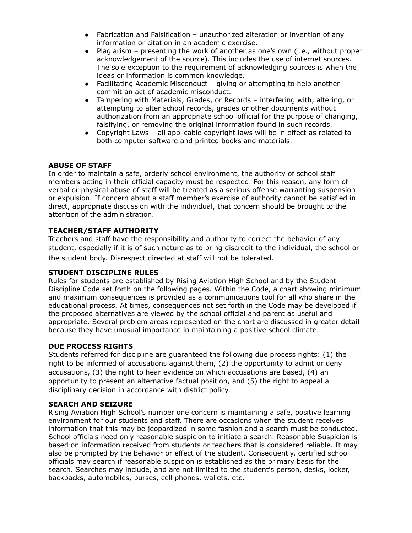- Fabrication and Falsification unauthorized alteration or invention of any information or citation in an academic exercise.
- Plagiarism presenting the work of another as one's own (i.e., without proper acknowledgement of the source). This includes the use of internet sources. The sole exception to the requirement of acknowledging sources is when the ideas or information is common knowledge.
- Facilitating Academic Misconduct giving or attempting to help another commit an act of academic misconduct.
- Tampering with Materials, Grades, or Records interfering with, altering, or attempting to alter school records, grades or other documents without authorization from an appropriate school official for the purpose of changing, falsifying, or removing the original information found in such records.
- Copyright Laws all applicable copyright laws will be in effect as related to both computer software and printed books and materials.

# **ABUSE OF STAFF**

In order to maintain a safe, orderly school environment, the authority of school staff members acting in their official capacity must be respected. For this reason, any form of verbal or physical abuse of staff will be treated as a serious offense warranting suspension or expulsion. If concern about a staff member's exercise of authority cannot be satisfied in direct, appropriate discussion with the individual, that concern should be brought to the attention of the administration.

# **TEACHER/STAFF AUTHORITY**

Teachers and staff have the responsibility and authority to correct the behavior of any student, especially if it is of such nature as to bring discredit to the individual, the school or the student body. Disrespect directed at staff will not be tolerated.

#### **STUDENT DISCIPLINE RULES**

Rules for students are established by Rising Aviation High School and by the Student Discipline Code set forth on the following pages. Within the Code, a chart showing minimum and maximum consequences is provided as a communications tool for all who share in the educational process. At times, consequences not set forth in the Code may be developed if the proposed alternatives are viewed by the school official and parent as useful and appropriate. Several problem areas represented on the chart are discussed in greater detail because they have unusual importance in maintaining a positive school climate.

#### **DUE PROCESS RIGHTS**

Students referred for discipline are guaranteed the following due process rights: (1) the right to be informed of accusations against them, (2) the opportunity to admit or deny accusations, (3) the right to hear evidence on which accusations are based, (4) an opportunity to present an alternative factual position, and (5) the right to appeal a disciplinary decision in accordance with district policy.

#### **SEARCH AND SEIZURE**

Rising Aviation High School's number one concern is maintaining a safe, positive learning environment for our students and staff. There are occasions when the student receives information that this may be jeopardized in some fashion and a search must be conducted. School officials need only reasonable suspicion to initiate a search. Reasonable Suspicion is based on information received from students or teachers that is considered reliable. It may also be prompted by the behavior or effect of the student. Consequently, certified school officials may search if reasonable suspicion is established as the primary basis for the search. Searches may include, and are not limited to the student's person, desks, locker, backpacks, automobiles, purses, cell phones, wallets, etc.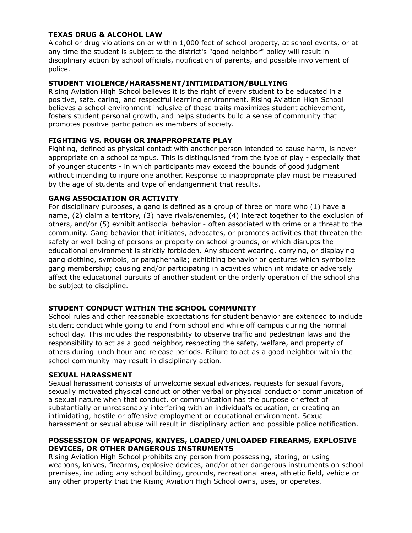# **TEXAS DRUG & ALCOHOL LAW**

Alcohol or drug violations on or within 1,000 feet of school property, at school events, or at any time the student is subject to the district's "good neighbor" policy will result in disciplinary action by school officials, notification of parents, and possible involvement of police.

# **STUDENT VIOLENCE/HARASSMENT/INTIMIDATION/BULLYING**

Rising Aviation High School believes it is the right of every student to be educated in a positive, safe, caring, and respectful learning environment. Rising Aviation High School believes a school environment inclusive of these traits maximizes student achievement, fosters student personal growth, and helps students build a sense of community that promotes positive participation as members of society.

# **FIGHTING VS. ROUGH OR INAPPROPRIATE PLAY**

Fighting, defined as physical contact with another person intended to cause harm, is never appropriate on a school campus. This is distinguished from the type of play - especially that of younger students - in which participants may exceed the bounds of good judgment without intending to injure one another. Response to inappropriate play must be measured by the age of students and type of endangerment that results.

# **GANG ASSOCIATION OR ACTIVITY**

For disciplinary purposes, a gang is defined as a group of three or more who (1) have a name, (2) claim a territory, (3) have rivals/enemies, (4) interact together to the exclusion of others, and/or (5) exhibit antisocial behavior - often associated with crime or a threat to the community. Gang behavior that initiates, advocates, or promotes activities that threaten the safety or well-being of persons or property on school grounds, or which disrupts the educational environment is strictly forbidden. Any student wearing, carrying, or displaying gang clothing, symbols, or paraphernalia; exhibiting behavior or gestures which symbolize gang membership; causing and/or participating in activities which intimidate or adversely affect the educational pursuits of another student or the orderly operation of the school shall be subject to discipline.

# **STUDENT CONDUCT WITHIN THE SCHOOL COMMUNITY**

School rules and other reasonable expectations for student behavior are extended to include student conduct while going to and from school and while off campus during the normal school day. This includes the responsibility to observe traffic and pedestrian laws and the responsibility to act as a good neighbor, respecting the safety, welfare, and property of others during lunch hour and release periods. Failure to act as a good neighbor within the school community may result in disciplinary action.

#### **SEXUAL HARASSMENT**

Sexual harassment consists of unwelcome sexual advances, requests for sexual favors, sexually motivated physical conduct or other verbal or physical conduct or communication of a sexual nature when that conduct, or communication has the purpose or effect of substantially or unreasonably interfering with an individual's education, or creating an intimidating, hostile or offensive employment or educational environment. Sexual harassment or sexual abuse will result in disciplinary action and possible police notification.

# **POSSESSION OF WEAPONS, KNIVES, LOADED/UNLOADED FIREARMS, EXPLOSIVE DEVICES, OR OTHER DANGEROUS INSTRUMENTS**

Rising Aviation High School prohibits any person from possessing, storing, or using weapons, knives, firearms, explosive devices, and/or other dangerous instruments on school premises, including any school building, grounds, recreational area, athletic field, vehicle or any other property that the Rising Aviation High School owns, uses, or operates.